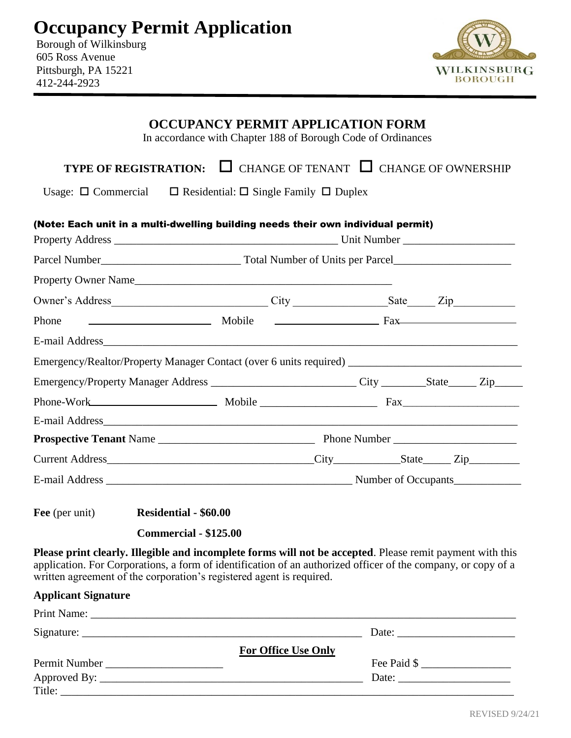| <b>Occupancy Permit Application</b> |  |  |
|-------------------------------------|--|--|
|                                     |  |  |

Borough of Wilkinsburg 605 Ross Avenue Pittsburgh, PA 15221 412-244-2923



|                                                                                                                                                                                                                                                                                                                                                                                                             | <b>OCCUPANCY PERMIT APPLICATION FORM</b><br>In accordance with Chapter 188 of Borough Code of Ordinances |  |  |                        |  |  |
|-------------------------------------------------------------------------------------------------------------------------------------------------------------------------------------------------------------------------------------------------------------------------------------------------------------------------------------------------------------------------------------------------------------|----------------------------------------------------------------------------------------------------------|--|--|------------------------|--|--|
| <b>TYPE OF REGISTRATION:</b> $\Box$ CHANGE OF TENANT $\Box$ CHANGE OF OWNERSHIP                                                                                                                                                                                                                                                                                                                             |                                                                                                          |  |  |                        |  |  |
| Usage: $\Box$ Commercial $\Box$ Residential: $\Box$ Single Family $\Box$ Duplex                                                                                                                                                                                                                                                                                                                             |                                                                                                          |  |  |                        |  |  |
| (Note: Each unit in a multi-dwelling building needs their own individual permit)                                                                                                                                                                                                                                                                                                                            |                                                                                                          |  |  |                        |  |  |
|                                                                                                                                                                                                                                                                                                                                                                                                             |                                                                                                          |  |  |                        |  |  |
| Property Owner Name                                                                                                                                                                                                                                                                                                                                                                                         |                                                                                                          |  |  |                        |  |  |
| Owner's Address _________________________________City __________________Sate _______Zip_____________                                                                                                                                                                                                                                                                                                        |                                                                                                          |  |  |                        |  |  |
| Phone                                                                                                                                                                                                                                                                                                                                                                                                       |                                                                                                          |  |  |                        |  |  |
|                                                                                                                                                                                                                                                                                                                                                                                                             |                                                                                                          |  |  |                        |  |  |
|                                                                                                                                                                                                                                                                                                                                                                                                             |                                                                                                          |  |  |                        |  |  |
| Emergency/Property Manager Address _____________________________City _________State______Zip_______                                                                                                                                                                                                                                                                                                         |                                                                                                          |  |  |                        |  |  |
| Phone-Work Mobile Mobile Fax                                                                                                                                                                                                                                                                                                                                                                                |                                                                                                          |  |  |                        |  |  |
|                                                                                                                                                                                                                                                                                                                                                                                                             |                                                                                                          |  |  |                        |  |  |
|                                                                                                                                                                                                                                                                                                                                                                                                             |                                                                                                          |  |  |                        |  |  |
|                                                                                                                                                                                                                                                                                                                                                                                                             |                                                                                                          |  |  |                        |  |  |
|                                                                                                                                                                                                                                                                                                                                                                                                             |                                                                                                          |  |  |                        |  |  |
| Fee (per unit)<br><b>Residential - \$60.00</b>                                                                                                                                                                                                                                                                                                                                                              |                                                                                                          |  |  |                        |  |  |
| <b>Commercial - \$125.00</b>                                                                                                                                                                                                                                                                                                                                                                                |                                                                                                          |  |  |                        |  |  |
| Please print clearly. Illegible and incomplete forms will not be accepted. Please remit payment with this<br>application. For Corporations, a form of identification of an authorized officer of the company, or copy of a<br>written agreement of the corporation's registered agent is required.                                                                                                          |                                                                                                          |  |  |                        |  |  |
| <b>Applicant Signature</b>                                                                                                                                                                                                                                                                                                                                                                                  |                                                                                                          |  |  |                        |  |  |
|                                                                                                                                                                                                                                                                                                                                                                                                             |                                                                                                          |  |  |                        |  |  |
| Signature: $\frac{1}{\sqrt{1-\frac{1}{2}}\sqrt{1-\frac{1}{2}}\sqrt{1-\frac{1}{2}}\sqrt{1-\frac{1}{2}}\sqrt{1-\frac{1}{2}}\sqrt{1-\frac{1}{2}}\sqrt{1-\frac{1}{2}}\sqrt{1-\frac{1}{2}}\sqrt{1-\frac{1}{2}}\sqrt{1-\frac{1}{2}}\sqrt{1-\frac{1}{2}}\sqrt{1-\frac{1}{2}}\sqrt{1-\frac{1}{2}}\sqrt{1-\frac{1}{2}}\sqrt{1-\frac{1}{2}}\sqrt{1-\frac{1}{2}}\sqrt{1-\frac{1}{2}}\sqrt{1-\frac{1}{2}}\sqrt{1-\frac$ |                                                                                                          |  |  |                        |  |  |
|                                                                                                                                                                                                                                                                                                                                                                                                             | <b>For Office Use Only</b>                                                                               |  |  |                        |  |  |
|                                                                                                                                                                                                                                                                                                                                                                                                             |                                                                                                          |  |  | Fee Paid $\frac{1}{2}$ |  |  |
|                                                                                                                                                                                                                                                                                                                                                                                                             |                                                                                                          |  |  |                        |  |  |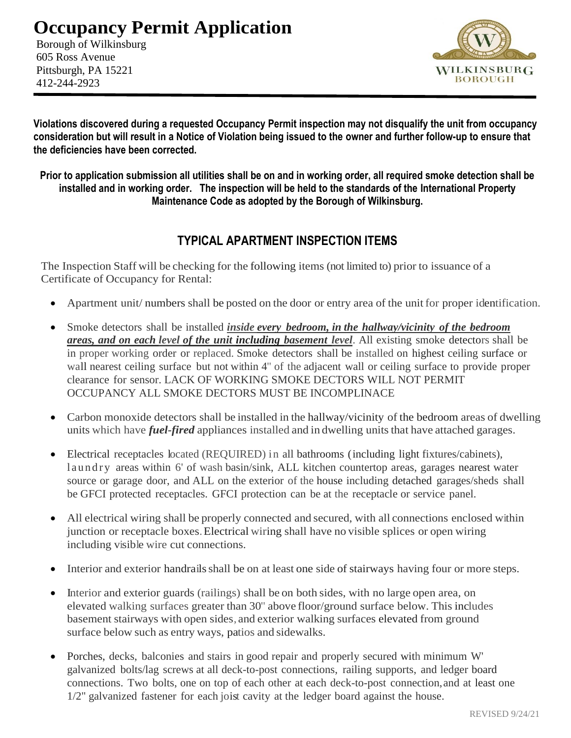## **Occupancy Permit Application**

Borough of Wilkinsburg 605 Ross Avenue Pittsburgh, PA 15221 412-244-2923



**Violations discovered during a requested Occupancy Permit inspection may not disqualify the unit from occupancy consideration but will result in a Notice of Violation being issued to the owner and further follow-up to ensure that the deficiencies have been corrected.** 

**Prior to application submission all utilities shall be on and in working order, all required smoke detection shall be installed and in working order. The inspection will be held to the standards of the International Property Maintenance Code as adopted by the Borough of Wilkinsburg.**

#### **TYPICAL APARTMENT INSPECTION ITEMS**

The Inspection Staff will be checking for the following items (not limited to) prior to issuance of a Certificate of Occupancy for Rental:

- Apartment unit/ numbers shall be posted on the door or entry area of the unit for proper identification.
- Smoke detectors shall be installed *inside every bedroom, in the hallway/vicinity of the bedroom areas, and on each level of the unit including basement level*. All existing smoke detectors shall be in proper working order or replaced. Smoke detectors shall be installed on highest ceiling surface or wall nearest ceiling surface but not within 4" of the adjacent wall or ceiling surface to provide proper clearance for sensor. LACK OF WORKING SMOKE DECTORS WILL NOT PERMIT OCCUPANCY ALL SMOKE DECTORS MUST BE INCOMPLINACE
- Carbon monoxide detectors shall be installed in the hallway/vicinity of the bedroom areas of dwelling units which have *fuel-fired* appliances installed and in dwelling units that have attached garages.
- Electrical receptacles located (REQUIRED) in all bathrooms (including light fixtures/cabinets), l a u n d r y areas within 6' of wash basin/sink, ALL kitchen countertop areas, garages nearest water source or garage door, and ALL on the exterior of the house including detached garages/sheds shall be GFCI protected receptacles. GFCI protection can be at the receptacle or service panel.
- All electrical wiring shall be properly connected and secured, with all connections enclosed within junction or receptacle boxes.Electrical wiring shall have no visible splices or open wiring including visible wire cut connections.
- Interior and exterior handrails shall be on at least one side of stairways having four or more steps.
- Interior and exterior guards (railings) shall be on both sides, with no large open area, on elevated walking surfaces greater than 30" above floor/ground surface below. This includes basement stairways with open sides, and exterior walking surfaces elevated from ground surface below such as entry ways, patios and sidewalks.
- Porches, decks, balconies and stairs in good repair and properly secured with minimum W' galvanized bolts/lag screws at all deck-to-post connections, railing supports, and ledger board connections. Two bolts, one on top of each other at each deck-to-post connection,and at least one 1/2" galvanized fastener for each joist cavity at the ledger board against the house.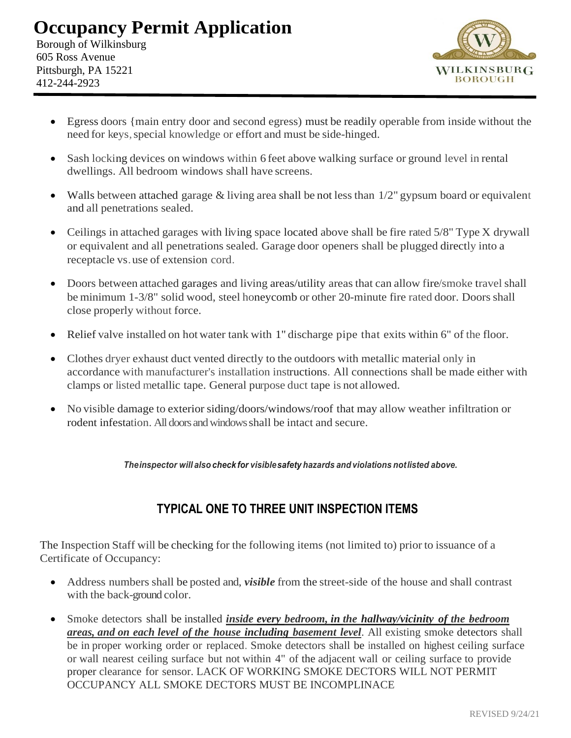## **Occupancy Permit Application**

Borough of Wilkinsburg 605 Ross Avenue Pittsburgh, PA 15221 412-244-2923



- Egress doors {main entry door and second egress) must be readily operable from inside without the need for keys, special knowledge or effort and must be side-hinged.
- Sash locking devices on windows within 6 feet above walking surface or ground level in rental dwellings. All bedroom windows shall have screens.
- Walls between attached garage & living area shall be not less than  $1/2$ " gypsum board or equivalent and all penetrations sealed.
- Ceilings in attached garages with living space located above shall be fire rated 5/8" Type X drywall or equivalent and all penetrations sealed. Garage door openers shall be plugged directly into a receptacle vs.use of extension cord.
- Doors between attached garages and living areas/utility areas that can allow fire/smoke travel shall be minimum 1-3/8" solid wood, steel honeycomb or other 20-minute fire rated door. Doors shall close properly without force.
- Relief valve installed on hot water tank with 1" discharge pipe that exits within 6" of the floor.
- Clothes dryer exhaust duct vented directly to the outdoors with metallic material only in accordance with manufacturer's installation instructions. All connections shall be made either with clamps or listed metallic tape. General purpose duct tape is not allowed.
- No visible damage to exterior siding/doors/windows/roof that may allow weather infiltration or rodent infestation. All doors and windows shall be intact and secure.

*Theinspector will alsocheck for visiblesafety hazards and violations notlisted above.*

### **TYPICAL ONE TO THREE UNIT INSPECTION ITEMS**

The Inspection Staff will be checking for the following items (not limited to) prior to issuance of a Certificate of Occupancy:

- Address numbers shall be posted and, *visible* from the street-side of the house and shall contrast with the back-ground color.
- Smoke detectors shall be installed *inside every bedroom, in the hallway/vicinity of the bedroom areas, and on each level of the house including basement level*. All existing smoke detectors shall be in proper working order or replaced. Smoke detectors shall be installed on highest ceiling surface or wall nearest ceiling surface but not within 4" of the adjacent wall or ceiling surface to provide proper clearance for sensor. LACK OF WORKING SMOKE DECTORS WILL NOT PERMIT OCCUPANCY ALL SMOKE DECTORS MUST BE INCOMPLINACE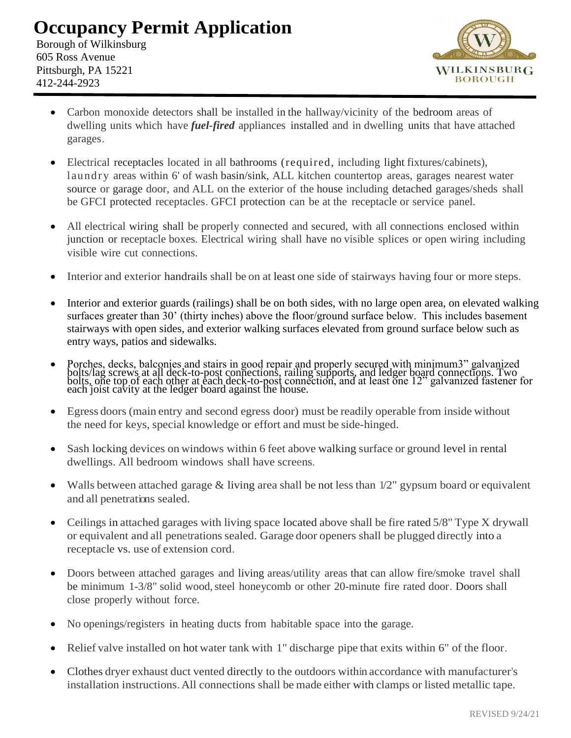# **Occupancy Permit Application**

Borough of Wilkinsburg 605 Ross Avenue Pittsburgh, PA 15221 412-244-2923



- Carbon monoxide detectors shall be installed in the hallway/vicinity of the bedroom areas of dwelling units which have *fuel-fired* appliances installed and in dwelling units that have attached garages.
- Electrical receptacles located in all bathrooms (required, including light fixtures/cabinets), laundry areas within 6' of wash basin/sink, ALL kitchen countertop areas, garages nearest water source or garage door, and ALL on the exterior of the house including detached garages/sheds shall be GFCI protected receptacles. GFCI protection can be at the receptacle or service panel.
- All electrical wiring shall be properly connected and secured, with all connections enclosed within junction or receptacle boxes. Electrical wiring shall have no visible splices or open wiring including visible wire cut connections.
- Interior and exterior handrails shall be on at least one side of stairways having four or more steps.
- Interior and exterior guards (railings) shall be on both sides, with no large open area, on elevated walking surfaces greater than 30' (thirty inches) above the floor/ground surface below. This includes basement stairways with open sides, and exterior walking surfaces elevated from ground surface below such as entry ways, patios and sidewalks.
- Porches, decks, balconies and stairs in good repair and properly secured with minimum3" galvanized bolts/lag screws at all deck-to-post connections, railing supports, and ledger board connections. Two bolts, one top of each other at each deck-to-post connection, and at least one 12" galvanized fastener for each joist cavity at the ledger board against the house.
- Egress doors (main entry and second egress door) must be readily operable from inside without the need for keys, special knowledge or effort and must be side-hinged.
- Sash locking devices on windows within 6 feet above walking surface or ground level in rental dwellings. All bedroom windows shall have screens.
- Walls between attached garage & living area shall be not less than  $1/2$ " gypsum board or equivalent and all penetrations sealed.
- Ceilings in attached garages with living space located above shall be fire rated 5/8" Type X drywall or equivalent and all penetrations sealed. Garage door openers shall be plugged directly into a receptacle vs. use of extension cord.
- Doors between attached garages and living areas/utility areas that can allow fire/smoke travel shall be minimum 1-3/8" solid wood, steel honeycomb or other 20-minute fire rated door. Doors shall close properly without force.
- No openings/registers in heating ducts from habitable space into the garage.
- Relief valve installed on hot water tank with 1" discharge pipe that exits within 6" of the floor.
- Clothes dryer exhaust duct vented directly to the outdoors within accordance with manufacturer's installation instructions.All connections shall be made either with clamps or listed metallic tape.